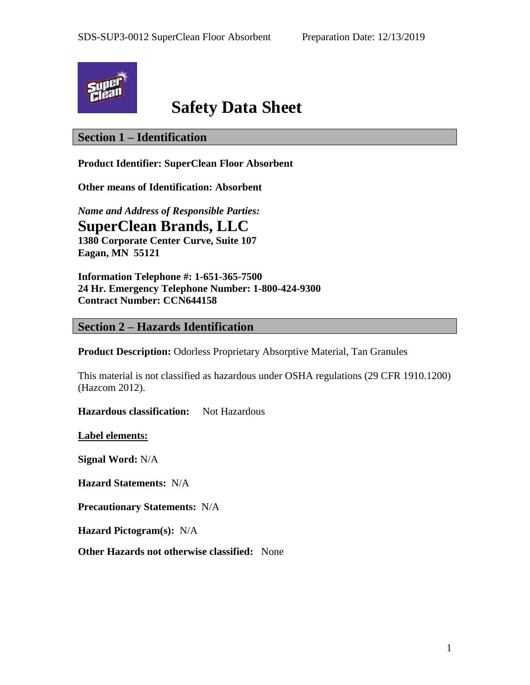

# **Safety Data Sheet**

# **Section 1 – Identification**

**Product Identifier: SuperClean Floor Absorbent**

**Other means of Identification: Absorbent**

*Name and Address of Responsible Parties:* **SuperClean Brands, LLC**

**1380 Corporate Center Curve, Suite 107 Eagan, MN 55121**

**Information Telephone #: 1-651-365-7500 24 Hr. Emergency Telephone Number: 1-800-424-9300 Contract Number: CCN644158**

## **Section 2 – Hazards Identification**

**Product Description:** Odorless Proprietary Absorptive Material, Tan Granules

This material is not classified as hazardous under OSHA regulations (29 CFR 1910.1200) (Hazcom 2012).

**Hazardous classification:** Not Hazardous

**Label elements:**

**Signal Word:** N/A

**Hazard Statements:** N/A

**Precautionary Statements:** N/A

**Hazard Pictogram(s):** N/A

**Other Hazards not otherwise classified:** None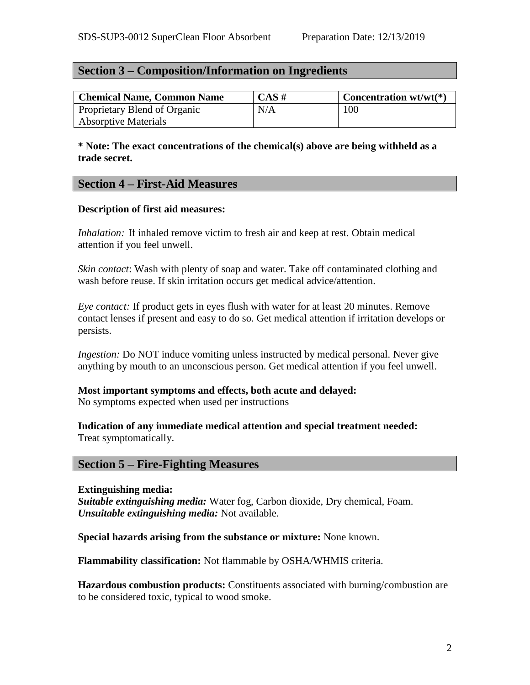# **Section 3 – Composition/Information on Ingredients**

| <b>Chemical Name, Common Name</b> | $CAS \#$ | <b>Concentration wt/wt(*)</b> |
|-----------------------------------|----------|-------------------------------|
| Proprietary Blend of Organic      | N/A      | 100                           |
| <b>Absorptive Materials</b>       |          |                               |

**\* Note: The exact concentrations of the chemical(s) above are being withheld as a trade secret.**

## **Section 4 – First-Aid Measures**

## **Description of first aid measures:**

*Inhalation:* If inhaled remove victim to fresh air and keep at rest. Obtain medical attention if you feel unwell.

*Skin contact*: Wash with plenty of soap and water. Take off contaminated clothing and wash before reuse. If skin irritation occurs get medical advice/attention.

*Eye contact:* If product gets in eyes flush with water for at least 20 minutes. Remove contact lenses if present and easy to do so. Get medical attention if irritation develops or persists.

*Ingestion:* Do NOT induce vomiting unless instructed by medical personal. Never give anything by mouth to an unconscious person. Get medical attention if you feel unwell.

## **Most important symptoms and effects, both acute and delayed:**

No symptoms expected when used per instructions

## **Indication of any immediate medical attention and special treatment needed:** Treat symptomatically.

# **Section 5 – Fire-Fighting Measures**

**Extinguishing media:** *Suitable extinguishing media:* Water fog, Carbon dioxide, Dry chemical, Foam. *Unsuitable extinguishing media:* Not available.

**Special hazards arising from the substance or mixture:** None known.

**Flammability classification:** Not flammable by OSHA/WHMIS criteria.

**Hazardous combustion products:** Constituents associated with burning/combustion are to be considered toxic, typical to wood smoke.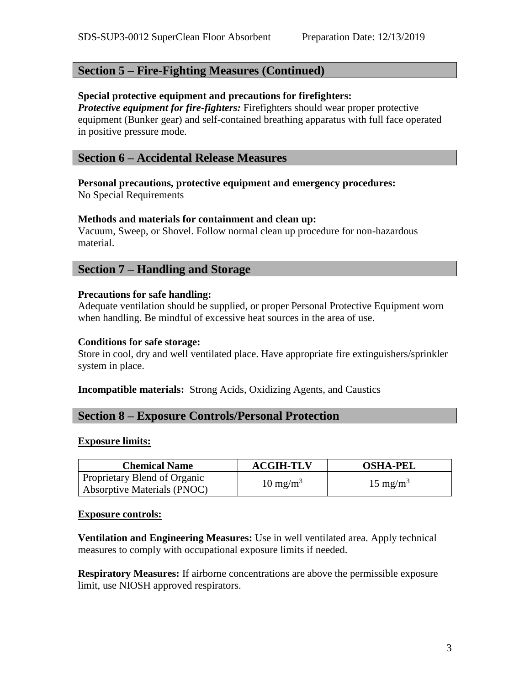# **Section 5 – Fire-Fighting Measures (Continued)**

# **Special protective equipment and precautions for firefighters:**

*Protective equipment for fire-fighters:* Firefighters should wear proper protective equipment (Bunker gear) and self-contained breathing apparatus with full face operated in positive pressure mode.

## **Section 6 – Accidental Release Measures**

# **Personal precautions, protective equipment and emergency procedures:**

No Special Requirements

## **Methods and materials for containment and clean up:**

Vacuum, Sweep, or Shovel. Follow normal clean up procedure for non-hazardous material.

## **Section 7 – Handling and Storage**

## **Precautions for safe handling:**

Adequate ventilation should be supplied, or proper Personal Protective Equipment worn when handling. Be mindful of excessive heat sources in the area of use.

## **Conditions for safe storage:**

Store in cool, dry and well ventilated place. Have appropriate fire extinguishers/sprinkler system in place.

## **Incompatible materials:** Strong Acids, Oxidizing Agents, and Caustics

# **Section 8 – Exposure Controls/Personal Protection**

## **Exposure limits:**

| <b>Chemical Name</b>                                        | <b>ACGIH-TLV</b>    | <b>OSHA-PEL</b>     |
|-------------------------------------------------------------|---------------------|---------------------|
| Proprietary Blend of Organic<br>Absorptive Materials (PNOC) | $10 \text{ mg/m}^3$ | $15 \text{ mg/m}^3$ |

## **Exposure controls:**

**Ventilation and Engineering Measures:** Use in well ventilated area. Apply technical measures to comply with occupational exposure limits if needed.

**Respiratory Measures:** If airborne concentrations are above the permissible exposure limit, use NIOSH approved respirators.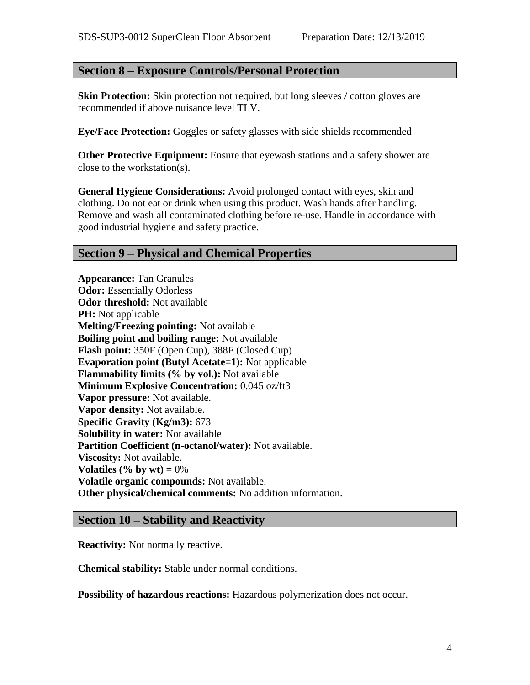## **Section 8 – Exposure Controls/Personal Protection**

**Skin Protection:** Skin protection not required, but long sleeves / cotton gloves are recommended if above nuisance level TLV.

**Eye/Face Protection:** Goggles or safety glasses with side shields recommended

**Other Protective Equipment:** Ensure that eyewash stations and a safety shower are close to the workstation(s).

**General Hygiene Considerations:** Avoid prolonged contact with eyes, skin and clothing. Do not eat or drink when using this product. Wash hands after handling. Remove and wash all contaminated clothing before re-use. Handle in accordance with good industrial hygiene and safety practice.

## **Section 9 – Physical and Chemical Properties**

**Appearance:** Tan Granules **Odor:** Essentially Odorless **Odor threshold:** Not available **PH:** Not applicable **Melting/Freezing pointing:** Not available **Boiling point and boiling range:** Not available **Flash point:** 350F (Open Cup), 388F (Closed Cup) **Evaporation point (Butyl Acetate=1):** Not applicable **Flammability limits (% by vol.):** Not available **Minimum Explosive Concentration:** 0.045 oz/ft3 **Vapor pressure:** Not available. **Vapor density:** Not available. **Specific Gravity (Kg/m3):** 673 **Solubility in water:** Not available **Partition Coefficient (n-octanol/water):** Not available. **Viscosity:** Not available. **Volatiles (% by wt)**  $= 0\%$ **Volatile organic compounds:** Not available. **Other physical/chemical comments:** No addition information.

## **Section 10 – Stability and Reactivity**

**Reactivity:** Not normally reactive.

**Chemical stability:** Stable under normal conditions.

**Possibility of hazardous reactions:** Hazardous polymerization does not occur.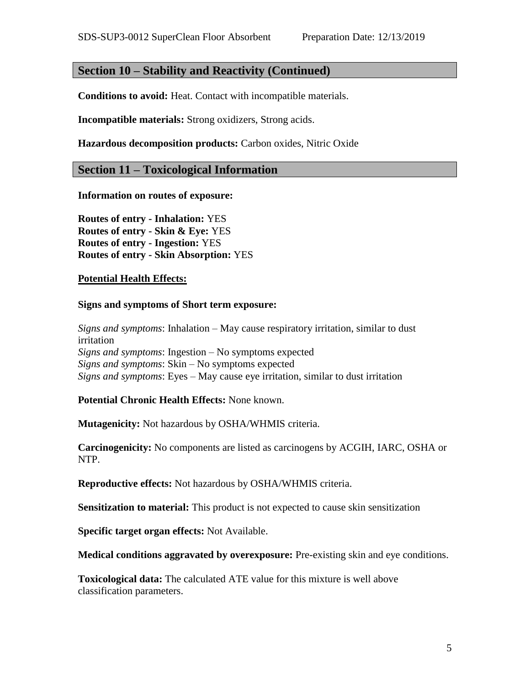# **Section 10 – Stability and Reactivity (Continued)**

**Conditions to avoid:** Heat. Contact with incompatible materials.

**Incompatible materials:** Strong oxidizers, Strong acids.

**Hazardous decomposition products:** Carbon oxides, Nitric Oxide

#### **Section 11 – Toxicological Information**

**Information on routes of exposure:**

**Routes of entry - Inhalation:** YES **Routes of entry - Skin & Eye:** YES **Routes of entry - Ingestion:** YES **Routes of entry - Skin Absorption:** YES

#### **Potential Health Effects:**

#### **Signs and symptoms of Short term exposure:**

*Signs and symptoms*: Inhalation – May cause respiratory irritation, similar to dust irritation *Signs and symptoms*: Ingestion – No symptoms expected *Signs and symptoms*: Skin – No symptoms expected *Signs and symptoms*: Eyes – May cause eye irritation, similar to dust irritation

**Potential Chronic Health Effects:** None known.

**Mutagenicity:** Not hazardous by OSHA/WHMIS criteria.

**Carcinogenicity:** No components are listed as carcinogens by ACGIH, IARC, OSHA or NTP.

**Reproductive effects:** Not hazardous by OSHA/WHMIS criteria.

**Sensitization to material:** This product is not expected to cause skin sensitization

**Specific target organ effects:** Not Available.

**Medical conditions aggravated by overexposure:** Pre-existing skin and eye conditions.

**Toxicological data:** The calculated ATE value for this mixture is well above classification parameters.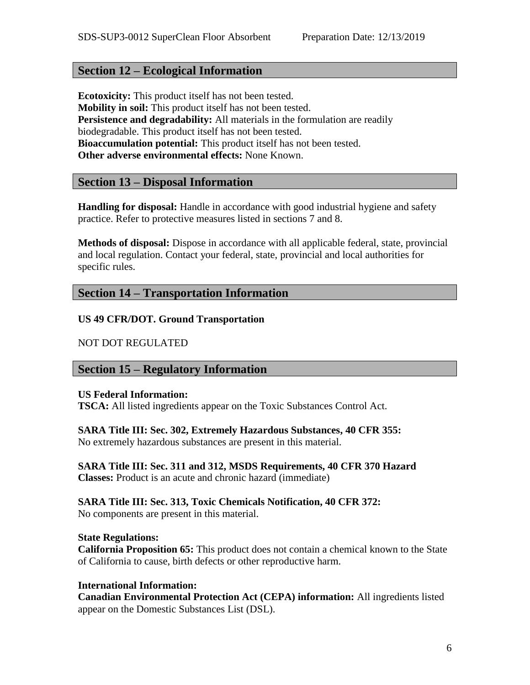# **Section 12 – Ecological Information**

**Ecotoxicity:** This product itself has not been tested. **Mobility in soil:** This product itself has not been tested. **Persistence and degradability:** All materials in the formulation are readily biodegradable. This product itself has not been tested. **Bioaccumulation potential:** This product itself has not been tested. **Other adverse environmental effects:** None Known.

# **Section 13 – Disposal Information**

**Handling for disposal:** Handle in accordance with good industrial hygiene and safety practice. Refer to protective measures listed in sections 7 and 8.

**Methods of disposal:** Dispose in accordance with all applicable federal, state, provincial and local regulation. Contact your federal, state, provincial and local authorities for specific rules.

# **Section 14 – Transportation Information**

## **US 49 CFR/DOT. Ground Transportation**

## NOT DOT REGULATED

# **Section 15 – Regulatory Information**

## **US Federal Information:**

**TSCA:** All listed ingredients appear on the Toxic Substances Control Act.

## **SARA Title III: Sec. 302, Extremely Hazardous Substances, 40 CFR 355:**

No extremely hazardous substances are present in this material.

## **SARA Title III: Sec. 311 and 312, MSDS Requirements, 40 CFR 370 Hazard Classes:** Product is an acute and chronic hazard (immediate)

# **SARA Title III: Sec. 313, Toxic Chemicals Notification, 40 CFR 372:**

No components are present in this material.

## **State Regulations:**

**California Proposition 65:** This product does not contain a chemical known to the State of California to cause, birth defects or other reproductive harm.

## **International Information:**

**Canadian Environmental Protection Act (CEPA) information:** All ingredients listed appear on the Domestic Substances List (DSL).